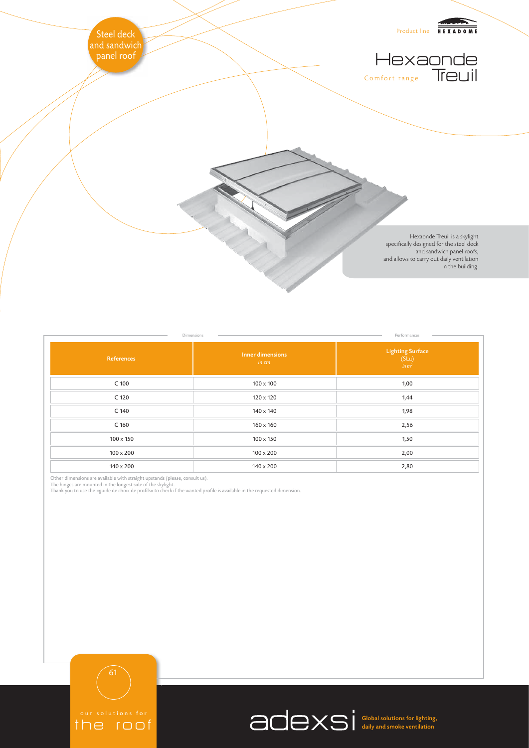

| Dimensions       |                           | Performances                                                                                  |
|------------------|---------------------------|-----------------------------------------------------------------------------------------------|
| References       | Inner dimensions<br>in cm | $\begin{array}{c} \textbf{Lighting Surface}\\ \textbf{(SLu)}\\ \textbf{in}\, m^2 \end{array}$ |
| C 100            | $100 \times 100$          | 1,00                                                                                          |
| C 120            | 120 x 120                 | 1,44                                                                                          |
| C 140            | 140 x 140                 | 1,98                                                                                          |
| C <sub>160</sub> | $160 \times 160$          | 2,56                                                                                          |
| 100 x 150        | $100 \times 150$          | 1,50                                                                                          |
| $100 \times 200$ | $100 \times 200$          | 2,00                                                                                          |
| 140 x 200        | 140 x 200                 | 2,80                                                                                          |

Other dimensions are available with straight upstands (please, consult us).<br>The hinges are mounted in the longest side of the skylight.<br>Thank you to use the «guide de choix de profils» to check if the wanted profile is ava

the roof

Global solutions for lighting, daily and smoke ventilation